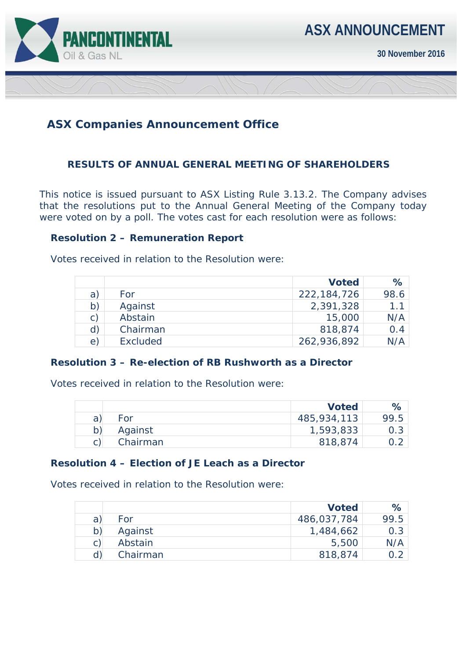

**30 November 2016** 

# **ASX Companies Announcement Office**

### **RESULTS OF ANNUAL GENERAL MEETING OF SHAREHOLDERS**

This notice is issued pursuant to ASX Listing Rule 3.13.2. The Company advises that the resolutions put to the Annual General Meeting of the Company today were voted on by a poll. The votes cast for each resolution were as follows:

#### **Resolution 2 – Remuneration Report**

Votes received in relation to the Resolution were:

|                |          | <b>Voted</b>  | %    |
|----------------|----------|---------------|------|
| a)             | For      | 222, 184, 726 | 98.6 |
| b)             | Against  | 2,391,328     | 1.1  |
| $\mathsf{C}$ ) | Abstain  | 15,000        | N/A  |
| d)             | Chairman | 818,874       | 0.4  |
| $\epsilon$ )   | Excluded | 262,936,892   |      |

#### **Resolution 3 – Re-election of RB Rushworth as a Director**

Votes received in relation to the Resolution were:

|          | <b>Voted</b> | ℅                |
|----------|--------------|------------------|
| For      | 485,934,113  | 99.5             |
| Against  | 1,593,833    | 0.3 <sub>1</sub> |
| Chairman | 818,874      |                  |

#### **Resolution 4 – Election of JE Leach as a Director**

Votes received in relation to the Resolution were:

|   |          | <b>Voted</b> | $\%$ |
|---|----------|--------------|------|
| a | For      | 486,037,784  | 99.5 |
| b | Against  | 1,484,662    | 0.3  |
|   | Abstain  | 5,500        | N/A  |
|   | Chairman | 818,874      | റ ാ  |